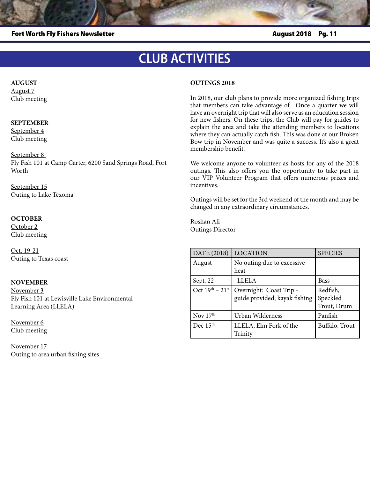Fort Worth Fly Fishers Newsletter August 2018 Pg. 11

# **CLUB ACTIVITIES**

### **AUGUST**

August 7 Club meeting

### **SEPTEMBER**

September 4 Club meeting

September 8

Fly Fish 101 at Camp Carter, 6200 Sand Springs Road, Fort Worth

September 22 Outing to Lewisville Lake Environmental Learning Area

### **OCTOBER**

October 2 Club meeting

Oct. 19-21 Outing to Texas coast

### **NOVEMBER**

November 3 Fly Fish 101 at Lewisville Lake Environmental Learning Area (LLELA)

November 6 Club meeting

November 17 Outing to area urban fishing sites

### **OUTINGS 2018**

In 2018, our club plans to provide more organized fishing trips that members can take advantage of. Once a quarter we will have an overnight trip that will also serve as an education session for new fishers. On these trips, the Club will pay for guides to explain the area and take the attending members to locations where they can actually catch fish. This was done at our Broken Bow trip in November and was quite a success. It's also a great membership benefit.

We welcome anyone to volunteer as hosts for any of the 2018 outings. This also offers you the opportunity to take part in our VIP Volunteer Program that offers numerous prizes and incentives.

Outings will be set for the 3rd weekend of the month and may be changed in any extraordinary circumstances.

Roshan Ali Outings Director

| DATE (2018)             | <b>LOCATION</b>                                          | <b>SPECIES</b>                      |
|-------------------------|----------------------------------------------------------|-------------------------------------|
| August                  | No outing due to excessive                               |                                     |
|                         | heat                                                     |                                     |
| Sept. 22                | <b>LLELA</b>                                             | <b>Bass</b>                         |
| Oct $19^{th} - 21^{st}$ | Overnight: Coast Trip -<br>guide provided; kayak fishing | Redfish,<br>Speckled<br>Trout, Drum |
| Nov $17th$              | Urban Wilderness                                         | Panfish                             |
| Dec 15 <sup>th</sup>    | LLELA, Elm Fork of the<br>Trinity                        | Buffalo, Trout                      |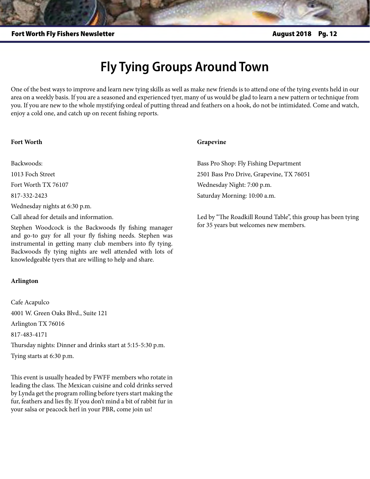## **Fly Tying Groups Around Town**

One of the best ways to improve and learn new tying skills as well as make new friends is to attend one of the tying events held in our area on a weekly basis. If you are a seasoned and experienced tyer, many of us would be glad to learn a new pattern or technique from you. If you are new to the whole mystifying ordeal of putting thread and feathers on a hook, do not be intimidated. Come and watch, enjoy a cold one, and catch up on recent fishing reports.

### **Fort Worth**

Backwoods:

1013 Foch Street

Fort Worth TX 76107

817-332-2423

Wednesday nights at 6:30 p.m.

Call ahead for details and information.

Stephen Woodcock is the Backwoods fly fishing manager and go-to guy for all your fly fishing needs. Stephen was instrumental in getting many club members into fly tying. Backwoods fly tying nights are well attended with lots of knowledgeable tyers that are willing to help and share.

### **Arlington**

Cafe Acapulco 4001 W. Green Oaks Blvd., Suite 121 Arlington TX 76016 817-483-4171 Thursday nights: Dinner and drinks start at 5:15-5:30 p.m. Tying starts at 6:30 p.m.

This event is usually headed by FWFF members who rotate in leading the class. The Mexican cuisine and cold drinks served by Lynda get the program rolling before tyers start making the fur, feathers and lies fly. If you don't mind a bit of rabbit fur in your salsa or peacock herl in your PBR, come join us!

### **Grapevine**

Bass Pro Shop: Fly Fishing Department 2501 Bass Pro Drive, Grapevine, TX 76051 Wednesday Night: 7:00 p.m. Saturday Morning: 10:00 a.m.

Led by "The Roadkill Round Table", this group has been tying for 35 years but welcomes new members.